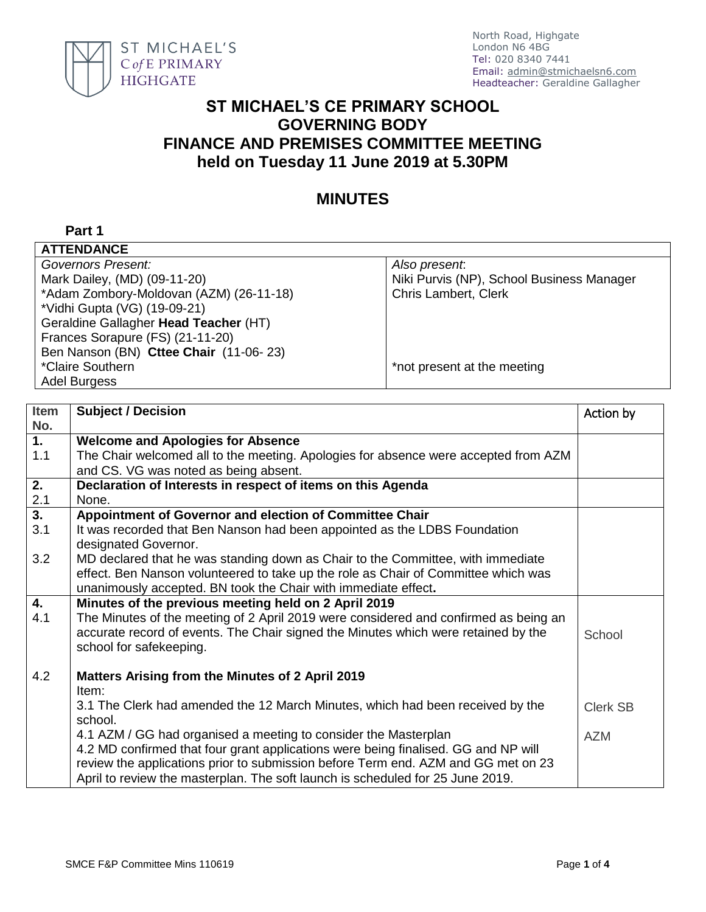

North Road, Highgate London N6 4BG Tel: 020 8340 7441 Email: [admin@stmichaelsn6.com](mailto:admin@stmichaelsn6.com) Headteacher: Geraldine Gallagher

## **ST MICHAEL'S CE PRIMARY SCHOOL GOVERNING BODY FINANCE AND PREMISES COMMITTEE MEETING held on Tuesday 11 June 2019 at 5.30PM**

## **MINUTES**

## **Part 1**

| <b>ATTENDANCE</b>                       |                                           |  |  |
|-----------------------------------------|-------------------------------------------|--|--|
| Governors Present:                      | Also present.                             |  |  |
| Mark Dailey, (MD) (09-11-20)            | Niki Purvis (NP), School Business Manager |  |  |
| *Adam Zombory-Moldovan (AZM) (26-11-18) | <b>Chris Lambert, Clerk</b>               |  |  |
| *Vidhi Gupta (VG) (19-09-21)            |                                           |  |  |
| Geraldine Gallagher Head Teacher (HT)   |                                           |  |  |
| Frances Sorapure (FS) (21-11-20)        |                                           |  |  |
| Ben Nanson (BN) Cttee Chair (11-06-23)  |                                           |  |  |
| *Claire Southern                        | *not present at the meeting               |  |  |
| <b>Adel Burgess</b>                     |                                           |  |  |

| Item             | <b>Subject / Decision</b>                                                            | Action by       |
|------------------|--------------------------------------------------------------------------------------|-----------------|
| No.              |                                                                                      |                 |
| 1.               | <b>Welcome and Apologies for Absence</b>                                             |                 |
| 1.1              | The Chair welcomed all to the meeting. Apologies for absence were accepted from AZM  |                 |
|                  | and CS. VG was noted as being absent.                                                |                 |
| 2.               | Declaration of Interests in respect of items on this Agenda                          |                 |
| 2.1              | None.                                                                                |                 |
| $\overline{3}$ . | Appointment of Governor and election of Committee Chair                              |                 |
| 3.1              | It was recorded that Ben Nanson had been appointed as the LDBS Foundation            |                 |
|                  | designated Governor.                                                                 |                 |
| 3.2              | MD declared that he was standing down as Chair to the Committee, with immediate      |                 |
|                  | effect. Ben Nanson volunteered to take up the role as Chair of Committee which was   |                 |
|                  | unanimously accepted. BN took the Chair with immediate effect.                       |                 |
| 4.               | Minutes of the previous meeting held on 2 April 2019                                 |                 |
| 4.1              | The Minutes of the meeting of 2 April 2019 were considered and confirmed as being an |                 |
|                  | accurate record of events. The Chair signed the Minutes which were retained by the   | School          |
|                  | school for safekeeping.                                                              |                 |
|                  |                                                                                      |                 |
| 4.2              | Matters Arising from the Minutes of 2 April 2019                                     |                 |
|                  | Item:                                                                                |                 |
|                  | 3.1 The Clerk had amended the 12 March Minutes, which had been received by the       |                 |
|                  | school.                                                                              | <b>Clerk SB</b> |
|                  |                                                                                      |                 |
|                  | 4.1 AZM / GG had organised a meeting to consider the Masterplan                      | <b>AZM</b>      |
|                  | 4.2 MD confirmed that four grant applications were being finalised. GG and NP will   |                 |
|                  | review the applications prior to submission before Term end. AZM and GG met on 23    |                 |
|                  | April to review the masterplan. The soft launch is scheduled for 25 June 2019.       |                 |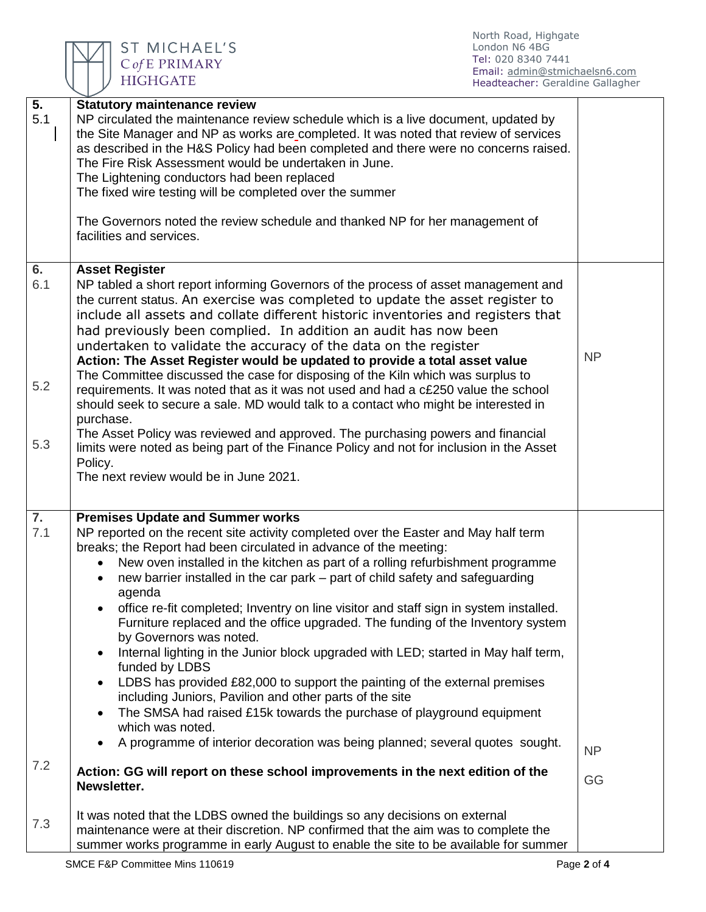

ST MICHAEL'S<br>CofE PRIMARY<br>HIGHGATE

North Road, Highgate London N6 4BG Tel: 020 8340 7441 Email: [admin@stmichaelsn6.com](mailto:admin@stmichaelsn6.com) Headteacher: Geraldine Gallagher

| $\overline{5}$ .<br>5.1 | <b>Statutory maintenance review</b><br>NP circulated the maintenance review schedule which is a live document, updated by<br>the Site Manager and NP as works are completed. It was noted that review of services<br>as described in the H&S Policy had been completed and there were no concerns raised.<br>The Fire Risk Assessment would be undertaken in June.<br>The Lightening conductors had been replaced<br>The fixed wire testing will be completed over the summer<br>The Governors noted the review schedule and thanked NP for her management of<br>facilities and services.                                                                                                                                                                                                                                                                                                                                                                                                                                                                                                                                                                                  |                 |
|-------------------------|----------------------------------------------------------------------------------------------------------------------------------------------------------------------------------------------------------------------------------------------------------------------------------------------------------------------------------------------------------------------------------------------------------------------------------------------------------------------------------------------------------------------------------------------------------------------------------------------------------------------------------------------------------------------------------------------------------------------------------------------------------------------------------------------------------------------------------------------------------------------------------------------------------------------------------------------------------------------------------------------------------------------------------------------------------------------------------------------------------------------------------------------------------------------------|-----------------|
| 6.<br>6.1<br>5.2<br>5.3 | <b>Asset Register</b><br>NP tabled a short report informing Governors of the process of asset management and<br>the current status. An exercise was completed to update the asset register to<br>include all assets and collate different historic inventories and registers that<br>had previously been complied. In addition an audit has now been<br>undertaken to validate the accuracy of the data on the register<br>Action: The Asset Register would be updated to provide a total asset value<br>The Committee discussed the case for disposing of the Kiln which was surplus to<br>requirements. It was noted that as it was not used and had a c£250 value the school<br>should seek to secure a sale. MD would talk to a contact who might be interested in<br>purchase.<br>The Asset Policy was reviewed and approved. The purchasing powers and financial<br>limits were noted as being part of the Finance Policy and not for inclusion in the Asset<br>Policy.<br>The next review would be in June 2021.                                                                                                                                                    | <b>NP</b>       |
| 7.<br>7.1<br>7.2        | <b>Premises Update and Summer works</b><br>NP reported on the recent site activity completed over the Easter and May half term<br>breaks; the Report had been circulated in advance of the meeting:<br>New oven installed in the kitchen as part of a rolling refurbishment programme<br>new barrier installed in the car park – part of child safety and safeguarding<br>agenda<br>office re-fit completed; Inventry on line visitor and staff sign in system installed.<br>Furniture replaced and the office upgraded. The funding of the Inventory system<br>by Governors was noted.<br>Internal lighting in the Junior block upgraded with LED; started in May half term,<br>$\bullet$<br>funded by LDBS<br>LDBS has provided £82,000 to support the painting of the external premises<br>$\bullet$<br>including Juniors, Pavilion and other parts of the site<br>The SMSA had raised £15k towards the purchase of playground equipment<br>$\bullet$<br>which was noted.<br>A programme of interior decoration was being planned; several quotes sought.<br>$\bullet$<br>Action: GG will report on these school improvements in the next edition of the<br>Newsletter. | <b>NP</b><br>GG |
| 7.3                     | It was noted that the LDBS owned the buildings so any decisions on external<br>maintenance were at their discretion. NP confirmed that the aim was to complete the<br>summer works programme in early August to enable the site to be available for summer                                                                                                                                                                                                                                                                                                                                                                                                                                                                                                                                                                                                                                                                                                                                                                                                                                                                                                                 |                 |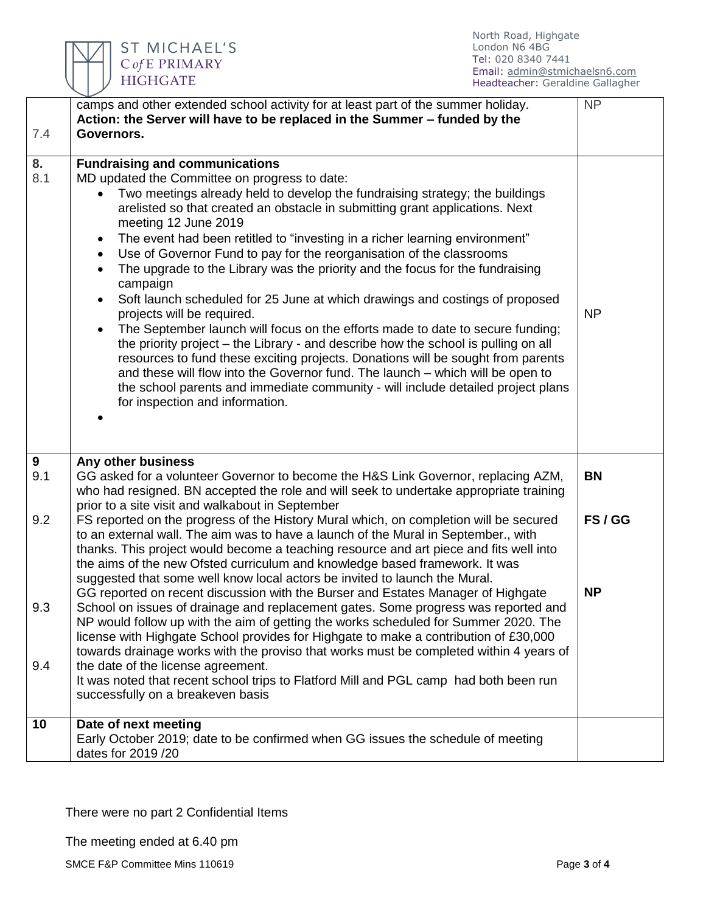

| 7.4       | camps and other extended school activity for at least part of the summer holiday.<br>Action: the Server will have to be replaced in the Summer - funded by the<br>Governors.                                                                                                                                                                                                                                                                                                                                                                                                                                                                                                                                                                                                                                                                                                                                                                                                                                                                                                                                                                                 | <b>NP</b>          |
|-----------|--------------------------------------------------------------------------------------------------------------------------------------------------------------------------------------------------------------------------------------------------------------------------------------------------------------------------------------------------------------------------------------------------------------------------------------------------------------------------------------------------------------------------------------------------------------------------------------------------------------------------------------------------------------------------------------------------------------------------------------------------------------------------------------------------------------------------------------------------------------------------------------------------------------------------------------------------------------------------------------------------------------------------------------------------------------------------------------------------------------------------------------------------------------|--------------------|
|           |                                                                                                                                                                                                                                                                                                                                                                                                                                                                                                                                                                                                                                                                                                                                                                                                                                                                                                                                                                                                                                                                                                                                                              |                    |
| 8.<br>8.1 | <b>Fundraising and communications</b><br>MD updated the Committee on progress to date:<br>Two meetings already held to develop the fundraising strategy; the buildings<br>arelisted so that created an obstacle in submitting grant applications. Next<br>meeting 12 June 2019<br>The event had been retitled to "investing in a richer learning environment"<br>$\bullet$<br>Use of Governor Fund to pay for the reorganisation of the classrooms<br>The upgrade to the Library was the priority and the focus for the fundraising<br>$\bullet$<br>campaign<br>Soft launch scheduled for 25 June at which drawings and costings of proposed<br>projects will be required.<br>The September launch will focus on the efforts made to date to secure funding;<br>$\bullet$<br>the priority project – the Library - and describe how the school is pulling on all<br>resources to fund these exciting projects. Donations will be sought from parents<br>and these will flow into the Governor fund. The launch - which will be open to<br>the school parents and immediate community - will include detailed project plans<br>for inspection and information. | <b>NP</b>          |
| 9<br>9.1  | Any other business<br>GG asked for a volunteer Governor to become the H&S Link Governor, replacing AZM,<br>who had resigned. BN accepted the role and will seek to undertake appropriate training                                                                                                                                                                                                                                                                                                                                                                                                                                                                                                                                                                                                                                                                                                                                                                                                                                                                                                                                                            | <b>BN</b>          |
| 9.2       | prior to a site visit and walkabout in September<br>FS reported on the progress of the History Mural which, on completion will be secured<br>to an external wall. The aim was to have a launch of the Mural in September., with<br>thanks. This project would become a teaching resource and art piece and fits well into<br>the aims of the new Ofsted curriculum and knowledge based framework. It was<br>suggested that some well know local actors be invited to launch the Mural.<br>GG reported on recent discussion with the Burser and Estates Manager of Highgate                                                                                                                                                                                                                                                                                                                                                                                                                                                                                                                                                                                   | FS/GG<br><b>NP</b> |
| 9.3       | School on issues of drainage and replacement gates. Some progress was reported and<br>NP would follow up with the aim of getting the works scheduled for Summer 2020. The<br>license with Highgate School provides for Highgate to make a contribution of £30,000<br>towards drainage works with the proviso that works must be completed within 4 years of                                                                                                                                                                                                                                                                                                                                                                                                                                                                                                                                                                                                                                                                                                                                                                                                  |                    |
| 9.4       | the date of the license agreement.<br>It was noted that recent school trips to Flatford Mill and PGL camp had both been run<br>successfully on a breakeven basis                                                                                                                                                                                                                                                                                                                                                                                                                                                                                                                                                                                                                                                                                                                                                                                                                                                                                                                                                                                             |                    |
| 10        | Date of next meeting<br>Early October 2019; date to be confirmed when GG issues the schedule of meeting<br>dates for 2019 /20                                                                                                                                                                                                                                                                                                                                                                                                                                                                                                                                                                                                                                                                                                                                                                                                                                                                                                                                                                                                                                |                    |

There were no part 2 Confidential Items

The meeting ended at 6.40 pm